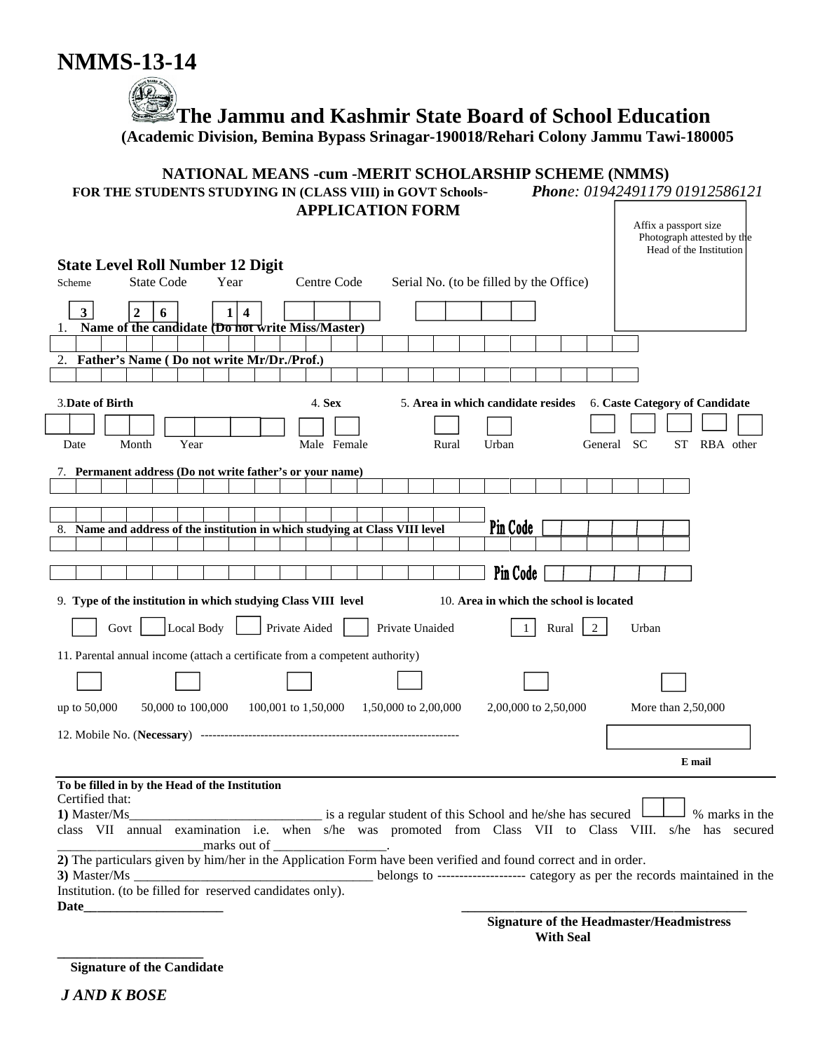

 **The Jammu and Kashmir State Board of School Education**

 **(Academic Division, Bemina Bypass Srinagar-190018/Rehari Colony Jammu Tawi-180005**

#### **NATIONAL MEANS -cum -MERIT SCHOLARSHIP SCHEME (NMMS)**

| FOR THE STUDENTS STUDYING IN (CLASS VIII) in GOVT Schools- | Phone: 01942491179 01912586121 |
|------------------------------------------------------------|--------------------------------|
| <b>APPLICATION FORM</b>                                    |                                |
|                                                            | Affix a passport size          |

|                                                                                                                |                                                |                                                                              |                      |       |                                         |                                         | Photograph attested by the<br>Head of the Institution                                                                     |
|----------------------------------------------------------------------------------------------------------------|------------------------------------------------|------------------------------------------------------------------------------|----------------------|-------|-----------------------------------------|-----------------------------------------|---------------------------------------------------------------------------------------------------------------------------|
| <b>State Level Roll Number 12 Digit</b>                                                                        |                                                |                                                                              |                      |       |                                         |                                         |                                                                                                                           |
| Scheme                                                                                                         | <b>State Code</b><br>Year                      | Centre Code                                                                  |                      |       | Serial No. (to be filled by the Office) |                                         |                                                                                                                           |
| 3 <sup>1</sup><br>$\overline{2}$                                                                               | $\overline{\mathbf{4}}$<br>6<br>1 <sup>1</sup> |                                                                              |                      |       |                                         |                                         |                                                                                                                           |
| 1.                                                                                                             |                                                | Name of the candidate (Do not write Miss/Master)                             |                      |       |                                         |                                         |                                                                                                                           |
|                                                                                                                |                                                |                                                                              |                      |       |                                         |                                         |                                                                                                                           |
| 2. Father's Name (Do not write Mr/Dr./Prof.)                                                                   |                                                |                                                                              |                      |       |                                         |                                         |                                                                                                                           |
|                                                                                                                |                                                |                                                                              |                      |       |                                         |                                         |                                                                                                                           |
| <b>3.Date of Birth</b>                                                                                         |                                                | 4. Sex                                                                       |                      |       | 5. Area in which candidate resides      |                                         | 6. Caste Category of Candidate                                                                                            |
|                                                                                                                |                                                |                                                                              |                      |       |                                         |                                         |                                                                                                                           |
| Month<br>Date                                                                                                  | Year                                           | Male Female                                                                  |                      | Rural | Urban                                   | General SC                              | ST RBA other                                                                                                              |
|                                                                                                                |                                                |                                                                              |                      |       |                                         |                                         |                                                                                                                           |
|                                                                                                                |                                                | 7. Permanent address (Do not write father's or your name)                    |                      |       |                                         |                                         |                                                                                                                           |
|                                                                                                                |                                                |                                                                              |                      |       |                                         |                                         |                                                                                                                           |
|                                                                                                                |                                                |                                                                              |                      |       | Pin Code                                |                                         |                                                                                                                           |
|                                                                                                                |                                                | 8. Name and address of the institution in which studying at Class VIII level |                      |       |                                         |                                         |                                                                                                                           |
|                                                                                                                |                                                |                                                                              |                      |       |                                         |                                         |                                                                                                                           |
|                                                                                                                |                                                |                                                                              |                      |       | Pin Code                                |                                         |                                                                                                                           |
|                                                                                                                |                                                | 9. Type of the institution in which studying Class VIII level                |                      |       |                                         | 10. Area in which the school is located |                                                                                                                           |
| Govt                                                                                                           | Local Body                                     | Private Aided                                                                | Private Unaided      |       |                                         | $\overline{2}$<br>Rural                 | Urban                                                                                                                     |
|                                                                                                                |                                                | 11. Parental annual income (attach a certificate from a competent authority) |                      |       |                                         |                                         |                                                                                                                           |
|                                                                                                                |                                                |                                                                              |                      |       |                                         |                                         |                                                                                                                           |
|                                                                                                                |                                                |                                                                              |                      |       |                                         |                                         |                                                                                                                           |
| up to 50,000                                                                                                   | 50,000 to 100,000                              | 100,001 to 1,50,000                                                          | 1,50,000 to 2,00,000 |       | 2,00,000 to 2,50,000                    |                                         | More than 2,50,000                                                                                                        |
|                                                                                                                |                                                |                                                                              |                      |       |                                         |                                         |                                                                                                                           |
|                                                                                                                |                                                |                                                                              |                      |       |                                         |                                         | E mail                                                                                                                    |
| To be filled in by the Head of the Institution                                                                 |                                                |                                                                              |                      |       |                                         |                                         |                                                                                                                           |
| Certified that:                                                                                                |                                                |                                                                              |                      |       |                                         |                                         |                                                                                                                           |
| 1) Master/Ms                                                                                                   |                                                | is a regular student of this School and he/she has secured                   |                      |       |                                         |                                         | % marks in the<br>class VII annual examination i.e. when s/he was promoted from Class VII to Class VIII. s/he has secured |
|                                                                                                                | marks out of                                   |                                                                              |                      |       |                                         |                                         |                                                                                                                           |
| 2) The particulars given by him/her in the Application Form have been verified and found correct and in order. |                                                |                                                                              |                      |       |                                         |                                         |                                                                                                                           |
| 3) Master/Ms                                                                                                   |                                                |                                                                              |                      |       |                                         |                                         | belongs to -------------------- category as per the records maintained in the                                             |
| Institution. (to be filled for reserved candidates only).                                                      |                                                |                                                                              |                      |       |                                         |                                         |                                                                                                                           |
| Date_                                                                                                          |                                                |                                                                              |                      |       |                                         |                                         | Signature of the Headmaster/Headmistress                                                                                  |
|                                                                                                                |                                                |                                                                              |                      |       |                                         |                                         |                                                                                                                           |

**Signature of the Headmaster/Headmistress With Seal**

 **Signature of the Candidate**

**\_\_\_\_\_\_\_\_\_\_\_\_\_\_\_\_\_\_\_\_\_\_**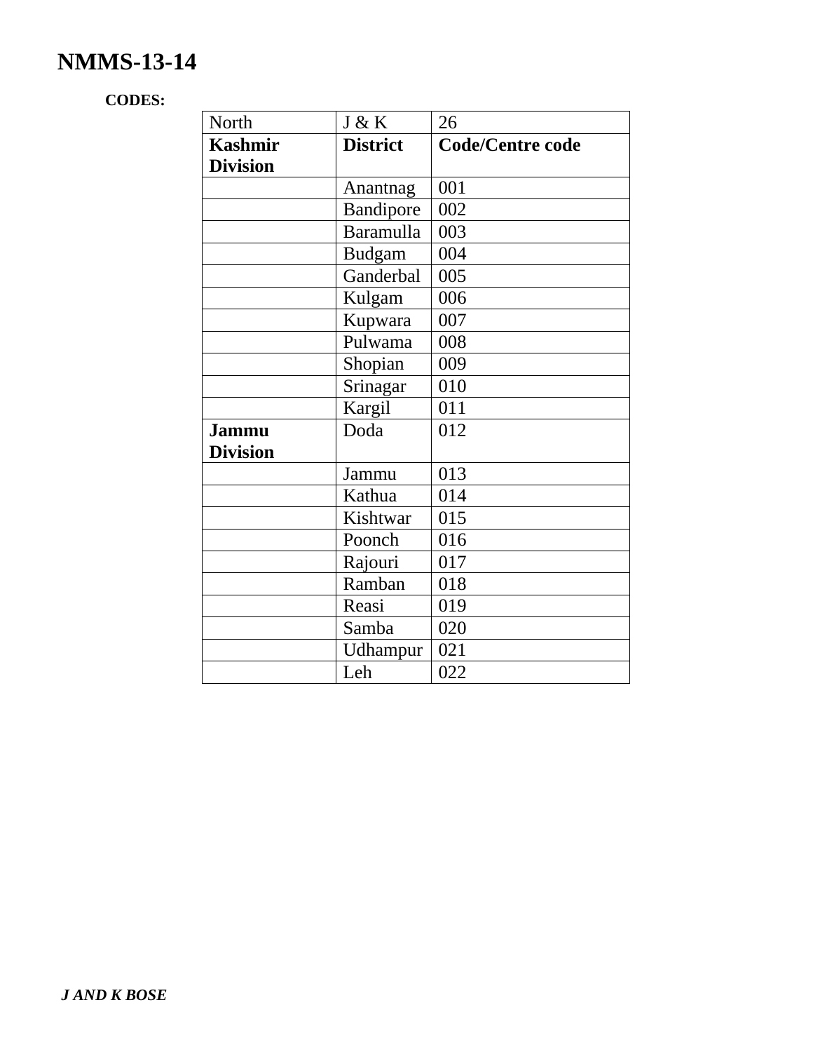# **NMMS-13-14**

## **CODES:**

| North           | J & K            | 26                      |
|-----------------|------------------|-------------------------|
| <b>Kashmir</b>  | <b>District</b>  | <b>Code/Centre code</b> |
| <b>Division</b> |                  |                         |
|                 | Anantnag         | 001                     |
|                 | Bandipore        | 002                     |
|                 | <b>Baramulla</b> | 003                     |
|                 | <b>Budgam</b>    | 004                     |
|                 | Ganderbal        | 005                     |
|                 | Kulgam           | 006                     |
|                 | Kupwara          | 007                     |
|                 | Pulwama          | 008                     |
|                 | Shopian          | 009                     |
|                 | Srinagar         | 010                     |
|                 | Kargil           | 011                     |
| <b>Jammu</b>    | Doda             | 012                     |
| <b>Division</b> |                  |                         |
|                 | Jammu            | 013                     |
|                 | Kathua           | 014                     |
|                 | Kishtwar         | 015                     |
|                 | Poonch           | 016                     |
|                 | Rajouri          | 017                     |
|                 | Ramban           | 018                     |
|                 | Reasi            | 019                     |
|                 | Samba            | 020                     |
|                 | Udhampur         | 021                     |
|                 | Leh              | 022                     |